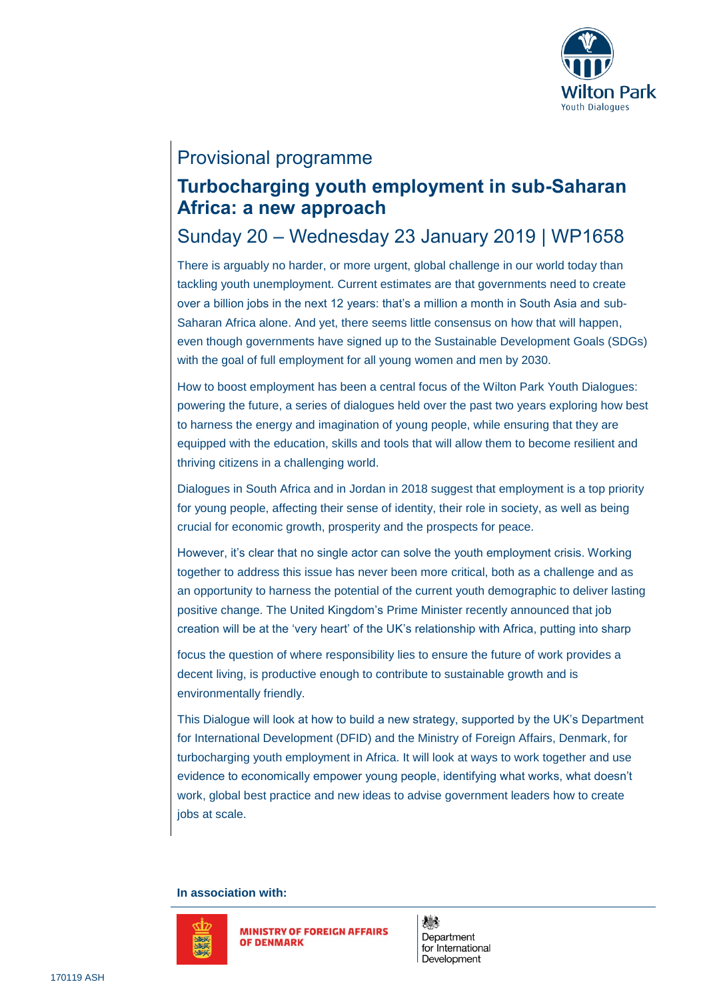

# Provisional programme

## **Turbocharging youth employment in sub-Saharan Africa: a new approach**

## Sunday 20 – Wednesday 23 January 2019 | WP1658

There is arguably no harder, or more urgent, global challenge in our world today than tackling youth unemployment. Current estimates are that governments need to create over a billion jobs in the next 12 years: that's a million a month in South Asia and sub-Saharan Africa alone. And yet, there seems little consensus on how that will happen, even though governments have signed up to the Sustainable Development Goals (SDGs) with the goal of full employment for all young women and men by 2030.

How to boost employment has been a central focus of the Wilton Park Youth Dialogues: powering the future, a series of dialogues held over the past two years exploring how best to harness the energy and imagination of young people, while ensuring that they are equipped with the education, skills and tools that will allow them to become resilient and thriving citizens in a challenging world.

Dialogues in South Africa and in Jordan in 2018 suggest that employment is a top priority for young people, affecting their sense of identity, their role in society, as well as being crucial for economic growth, prosperity and the prospects for peace.

However, it's clear that no single actor can solve the youth employment crisis. Working together to address this issue has never been more critical, both as a challenge and as an opportunity to harness the potential of the current youth demographic to deliver lasting positive change. The United Kingdom's Prime Minister recently announced that job creation will be at the 'very heart' of the UK's relationship with Africa, putting into sharp

focus the question of where responsibility lies to ensure the future of work provides a decent living, is productive enough to contribute to sustainable growth and is environmentally friendly.

This Dialogue will look at how to build a new strategy, supported by the UK's Department for International Development (DFID) and the Ministry of Foreign Affairs, Denmark, for turbocharging youth employment in Africa. It will look at ways to work together and use evidence to economically empower young people, identifying what works, what doesn't work, global best practice and new ideas to advise government leaders how to create jobs at scale.

### **In association with:**



**MINISTRY OF FOREIGN AFFAIRS OF DENMARK** 

燃 Department for International Development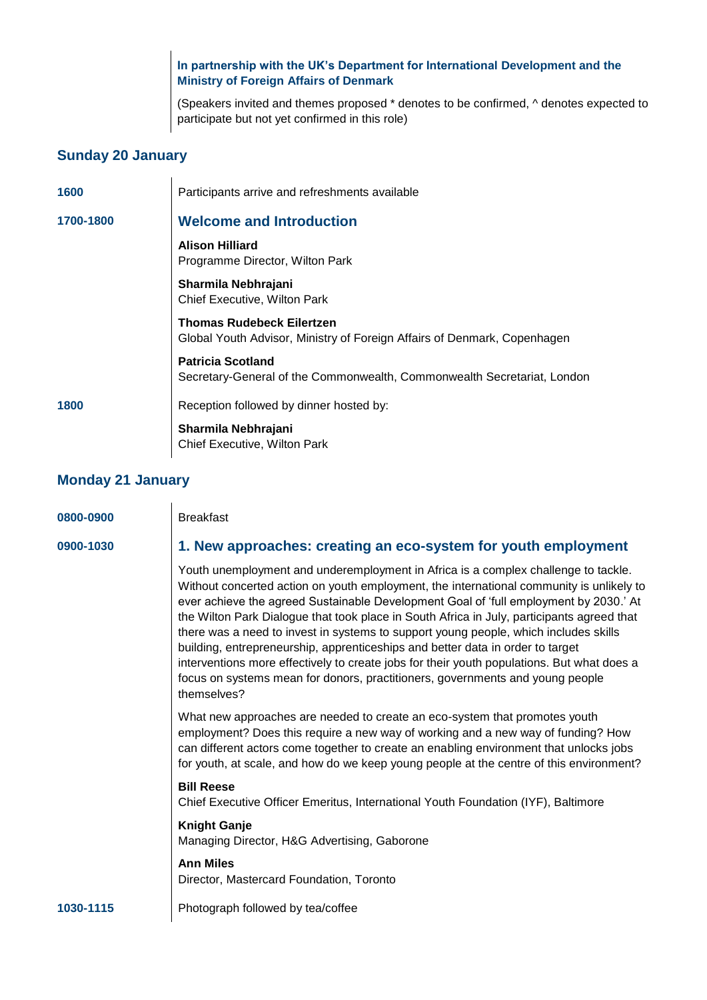**In partnership with the UK's Department for International Development and the Ministry of Foreign Affairs of Denmark**

(Speakers invited and themes proposed \* denotes to be confirmed, ^ denotes expected to participate but not yet confirmed in this role)

## **Sunday 20 January**

| 1600      | Participants arrive and refreshments available                                                               |
|-----------|--------------------------------------------------------------------------------------------------------------|
| 1700-1800 | <b>Welcome and Introduction</b>                                                                              |
|           | <b>Alison Hilliard</b><br>Programme Director, Wilton Park                                                    |
|           | Sharmila Nebhrajani<br><b>Chief Executive, Wilton Park</b>                                                   |
|           | <b>Thomas Rudebeck Eilertzen</b><br>Global Youth Advisor, Ministry of Foreign Affairs of Denmark, Copenhagen |
|           | <b>Patricia Scotland</b><br>Secretary-General of the Commonwealth, Commonwealth Secretariat, London          |
| 1800      | Reception followed by dinner hosted by:                                                                      |
|           | Sharmila Nebhrajani<br>Chief Executive, Wilton Park                                                          |

## **Monday 21 January**

| 0800-0900 | <b>Breakfast</b>                                                                                                                                                                                                                                                                                                                                                                                                                                                                                                                                                                                                                                                                                                                              |
|-----------|-----------------------------------------------------------------------------------------------------------------------------------------------------------------------------------------------------------------------------------------------------------------------------------------------------------------------------------------------------------------------------------------------------------------------------------------------------------------------------------------------------------------------------------------------------------------------------------------------------------------------------------------------------------------------------------------------------------------------------------------------|
| 0900-1030 | 1. New approaches: creating an eco-system for youth employment                                                                                                                                                                                                                                                                                                                                                                                                                                                                                                                                                                                                                                                                                |
|           | Youth unemployment and underemployment in Africa is a complex challenge to tackle.<br>Without concerted action on youth employment, the international community is unlikely to<br>ever achieve the agreed Sustainable Development Goal of 'full employment by 2030.' At<br>the Wilton Park Dialogue that took place in South Africa in July, participants agreed that<br>there was a need to invest in systems to support young people, which includes skills<br>building, entrepreneurship, apprenticeships and better data in order to target<br>interventions more effectively to create jobs for their youth populations. But what does a<br>focus on systems mean for donors, practitioners, governments and young people<br>themselves? |
|           | What new approaches are needed to create an eco-system that promotes youth<br>employment? Does this require a new way of working and a new way of funding? How<br>can different actors come together to create an enabling environment that unlocks jobs<br>for youth, at scale, and how do we keep young people at the centre of this environment?                                                                                                                                                                                                                                                                                                                                                                                           |
|           | <b>Bill Reese</b><br>Chief Executive Officer Emeritus, International Youth Foundation (IYF), Baltimore                                                                                                                                                                                                                                                                                                                                                                                                                                                                                                                                                                                                                                        |
|           | <b>Knight Ganje</b><br>Managing Director, H&G Advertising, Gaborone                                                                                                                                                                                                                                                                                                                                                                                                                                                                                                                                                                                                                                                                           |
|           | <b>Ann Miles</b><br>Director, Mastercard Foundation, Toronto                                                                                                                                                                                                                                                                                                                                                                                                                                                                                                                                                                                                                                                                                  |
| 1030-1115 | Photograph followed by tea/coffee                                                                                                                                                                                                                                                                                                                                                                                                                                                                                                                                                                                                                                                                                                             |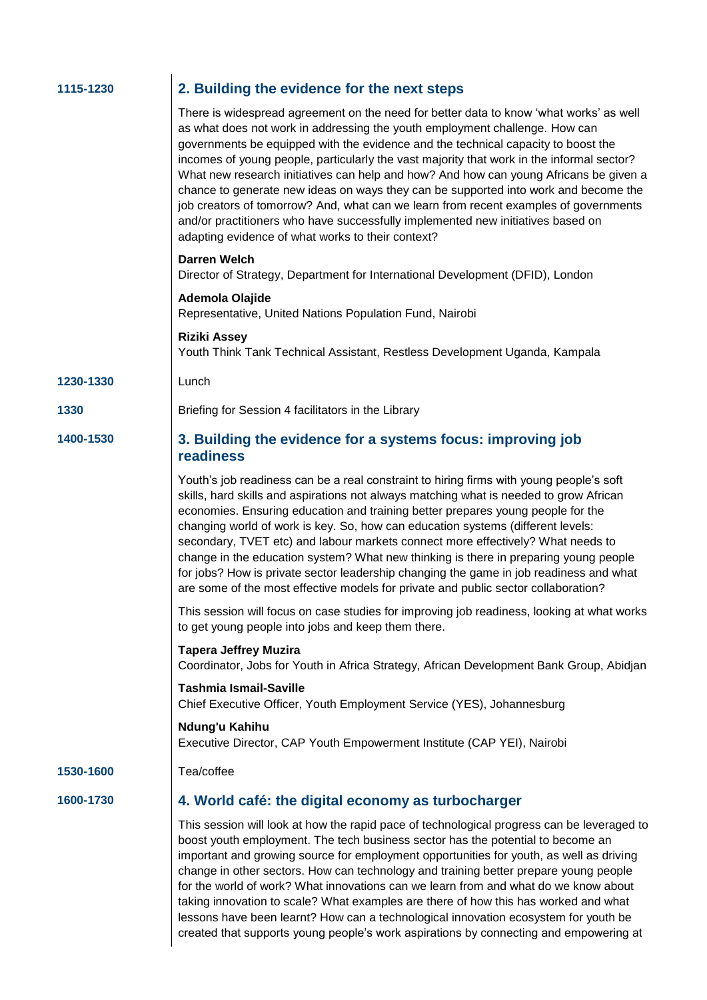| 2. Building the evidence for the next steps                                                                                                                                                                                                                                                                                                                                                                                                                                                                                                                                                                                                                                                                                                                             |
|-------------------------------------------------------------------------------------------------------------------------------------------------------------------------------------------------------------------------------------------------------------------------------------------------------------------------------------------------------------------------------------------------------------------------------------------------------------------------------------------------------------------------------------------------------------------------------------------------------------------------------------------------------------------------------------------------------------------------------------------------------------------------|
| There is widespread agreement on the need for better data to know 'what works' as well<br>as what does not work in addressing the youth employment challenge. How can<br>governments be equipped with the evidence and the technical capacity to boost the<br>incomes of young people, particularly the vast majority that work in the informal sector?<br>What new research initiatives can help and how? And how can young Africans be given a<br>chance to generate new ideas on ways they can be supported into work and become the<br>job creators of tomorrow? And, what can we learn from recent examples of governments<br>and/or practitioners who have successfully implemented new initiatives based on<br>adapting evidence of what works to their context? |
| <b>Darren Welch</b><br>Director of Strategy, Department for International Development (DFID), London                                                                                                                                                                                                                                                                                                                                                                                                                                                                                                                                                                                                                                                                    |
| Ademola Olajide<br>Representative, United Nations Population Fund, Nairobi                                                                                                                                                                                                                                                                                                                                                                                                                                                                                                                                                                                                                                                                                              |
| <b>Riziki Assey</b><br>Youth Think Tank Technical Assistant, Restless Development Uganda, Kampala                                                                                                                                                                                                                                                                                                                                                                                                                                                                                                                                                                                                                                                                       |
| Lunch                                                                                                                                                                                                                                                                                                                                                                                                                                                                                                                                                                                                                                                                                                                                                                   |
| Briefing for Session 4 facilitators in the Library                                                                                                                                                                                                                                                                                                                                                                                                                                                                                                                                                                                                                                                                                                                      |
| 3. Building the evidence for a systems focus: improving job<br>readiness                                                                                                                                                                                                                                                                                                                                                                                                                                                                                                                                                                                                                                                                                                |
| Youth's job readiness can be a real constraint to hiring firms with young people's soft<br>skills, hard skills and aspirations not always matching what is needed to grow African<br>economies. Ensuring education and training better prepares young people for the<br>changing world of work is key. So, how can education systems (different levels:<br>secondary, TVET etc) and labour markets connect more effectively? What needs to<br>change in the education system? What new thinking is there in preparing young people<br>for jobs? How is private sector leadership changing the game in job readiness and what<br>are some of the most effective models for private and public sector collaboration?                                                      |
| This session will focus on case studies for improving job readiness, looking at what works<br>to get young people into jobs and keep them there.                                                                                                                                                                                                                                                                                                                                                                                                                                                                                                                                                                                                                        |
| <b>Tapera Jeffrey Muzira</b><br>Coordinator, Jobs for Youth in Africa Strategy, African Development Bank Group, Abidjan                                                                                                                                                                                                                                                                                                                                                                                                                                                                                                                                                                                                                                                 |
| <b>Tashmia Ismail-Saville</b><br>Chief Executive Officer, Youth Employment Service (YES), Johannesburg                                                                                                                                                                                                                                                                                                                                                                                                                                                                                                                                                                                                                                                                  |
| Ndung'u Kahihu<br>Executive Director, CAP Youth Empowerment Institute (CAP YEI), Nairobi                                                                                                                                                                                                                                                                                                                                                                                                                                                                                                                                                                                                                                                                                |
| Tea/coffee                                                                                                                                                                                                                                                                                                                                                                                                                                                                                                                                                                                                                                                                                                                                                              |
| 4. World café: the digital economy as turbocharger                                                                                                                                                                                                                                                                                                                                                                                                                                                                                                                                                                                                                                                                                                                      |
| This session will look at how the rapid pace of technological progress can be leveraged to<br>boost youth employment. The tech business sector has the potential to become an<br>important and growing source for employment opportunities for youth, as well as driving<br>change in other sectors. How can technology and training better prepare young people<br>for the world of work? What innovations can we learn from and what do we know about<br>taking innovation to scale? What examples are there of how this has worked and what<br>lessons have been learnt? How can a technological innovation ecosystem for youth be<br>created that supports young people's work aspirations by connecting and empowering at                                          |
|                                                                                                                                                                                                                                                                                                                                                                                                                                                                                                                                                                                                                                                                                                                                                                         |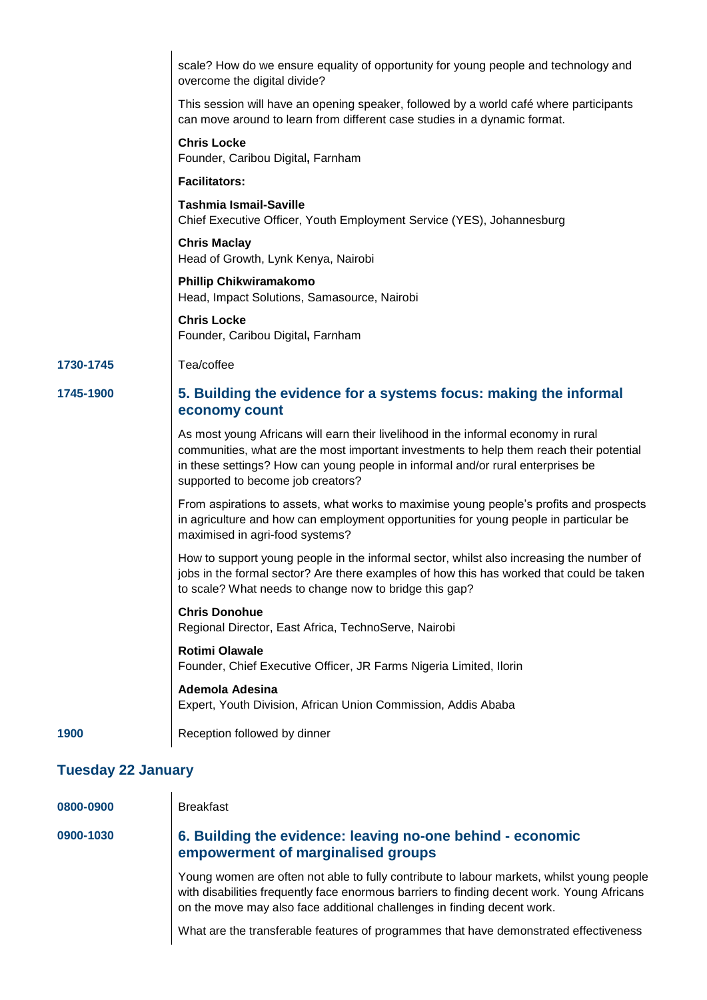|                           | scale? How do we ensure equality of opportunity for young people and technology and<br>overcome the digital divide?                                                                                                                                                                                   |  |
|---------------------------|-------------------------------------------------------------------------------------------------------------------------------------------------------------------------------------------------------------------------------------------------------------------------------------------------------|--|
|                           | This session will have an opening speaker, followed by a world café where participants<br>can move around to learn from different case studies in a dynamic format.                                                                                                                                   |  |
|                           | <b>Chris Locke</b><br>Founder, Caribou Digital, Farnham                                                                                                                                                                                                                                               |  |
|                           | <b>Facilitators:</b>                                                                                                                                                                                                                                                                                  |  |
|                           | <b>Tashmia Ismail-Saville</b><br>Chief Executive Officer, Youth Employment Service (YES), Johannesburg                                                                                                                                                                                                |  |
|                           | <b>Chris Maclay</b><br>Head of Growth, Lynk Kenya, Nairobi                                                                                                                                                                                                                                            |  |
|                           | <b>Phillip Chikwiramakomo</b><br>Head, Impact Solutions, Samasource, Nairobi                                                                                                                                                                                                                          |  |
|                           | <b>Chris Locke</b><br>Founder, Caribou Digital, Farnham                                                                                                                                                                                                                                               |  |
| 1730-1745                 | Tea/coffee                                                                                                                                                                                                                                                                                            |  |
| 1745-1900                 | 5. Building the evidence for a systems focus: making the informal<br>economy count                                                                                                                                                                                                                    |  |
|                           | As most young Africans will earn their livelihood in the informal economy in rural<br>communities, what are the most important investments to help them reach their potential<br>in these settings? How can young people in informal and/or rural enterprises be<br>supported to become job creators? |  |
|                           | From aspirations to assets, what works to maximise young people's profits and prospects<br>in agriculture and how can employment opportunities for young people in particular be<br>maximised in agri-food systems?                                                                                   |  |
|                           | How to support young people in the informal sector, whilst also increasing the number of<br>jobs in the formal sector? Are there examples of how this has worked that could be taken<br>to scale? What needs to change now to bridge this gap?                                                        |  |
|                           | <b>Chris Donohue</b><br>Regional Director, East Africa, TechnoServe, Nairobi                                                                                                                                                                                                                          |  |
|                           | <b>Rotimi Olawale</b><br>Founder, Chief Executive Officer, JR Farms Nigeria Limited, Ilorin                                                                                                                                                                                                           |  |
|                           | Ademola Adesina<br>Expert, Youth Division, African Union Commission, Addis Ababa                                                                                                                                                                                                                      |  |
| 1900                      | Reception followed by dinner                                                                                                                                                                                                                                                                          |  |
| <b>Tuesday 22 January</b> |                                                                                                                                                                                                                                                                                                       |  |
| 0800-0900                 | <b>Breakfast</b>                                                                                                                                                                                                                                                                                      |  |
|                           |                                                                                                                                                                                                                                                                                                       |  |

### **0900-1030 6. Building the evidence: leaving no-one behind - economic empowerment of marginalised groups**

Young women are often not able to fully contribute to labour markets, whilst young people with disabilities frequently face enormous barriers to finding decent work. Young Africans on the move may also face additional challenges in finding decent work.

What are the transferable features of programmes that have demonstrated effectiveness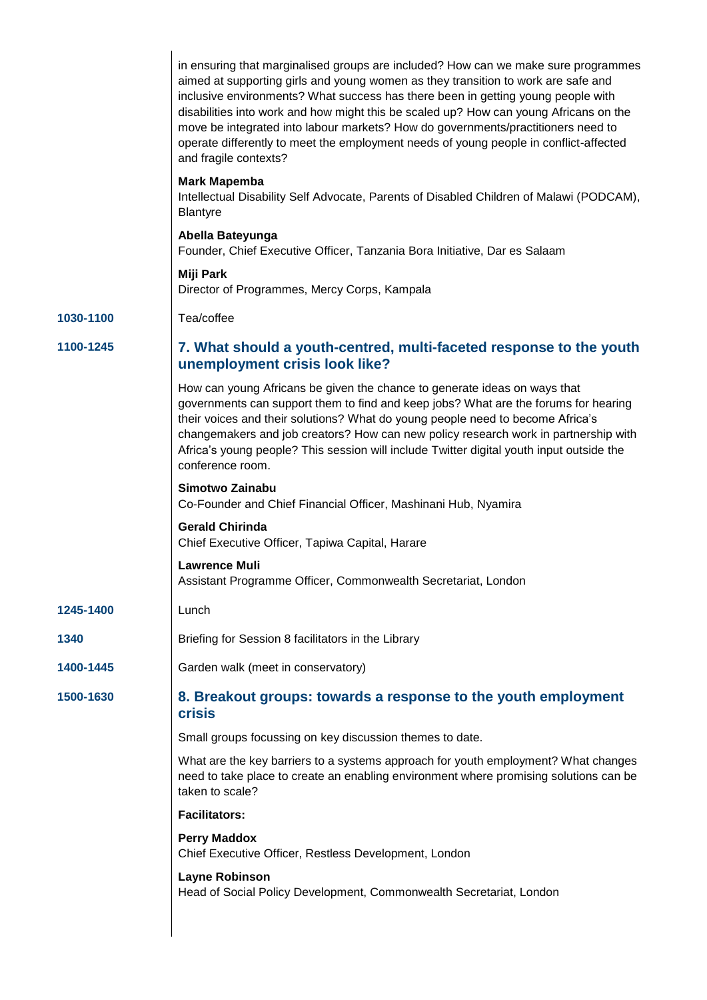|           | in ensuring that marginalised groups are included? How can we make sure programmes<br>aimed at supporting girls and young women as they transition to work are safe and<br>inclusive environments? What success has there been in getting young people with<br>disabilities into work and how might this be scaled up? How can young Africans on the<br>move be integrated into labour markets? How do governments/practitioners need to<br>operate differently to meet the employment needs of young people in conflict-affected<br>and fragile contexts? |
|-----------|------------------------------------------------------------------------------------------------------------------------------------------------------------------------------------------------------------------------------------------------------------------------------------------------------------------------------------------------------------------------------------------------------------------------------------------------------------------------------------------------------------------------------------------------------------|
|           | <b>Mark Mapemba</b><br>Intellectual Disability Self Advocate, Parents of Disabled Children of Malawi (PODCAM),<br><b>Blantyre</b>                                                                                                                                                                                                                                                                                                                                                                                                                          |
|           | Abella Bateyunga<br>Founder, Chief Executive Officer, Tanzania Bora Initiative, Dar es Salaam                                                                                                                                                                                                                                                                                                                                                                                                                                                              |
|           | Miji Park<br>Director of Programmes, Mercy Corps, Kampala                                                                                                                                                                                                                                                                                                                                                                                                                                                                                                  |
| 1030-1100 | Tea/coffee                                                                                                                                                                                                                                                                                                                                                                                                                                                                                                                                                 |
| 1100-1245 | 7. What should a youth-centred, multi-faceted response to the youth<br>unemployment crisis look like?                                                                                                                                                                                                                                                                                                                                                                                                                                                      |
|           | How can young Africans be given the chance to generate ideas on ways that<br>governments can support them to find and keep jobs? What are the forums for hearing<br>their voices and their solutions? What do young people need to become Africa's<br>changemakers and job creators? How can new policy research work in partnership with<br>Africa's young people? This session will include Twitter digital youth input outside the<br>conference room.                                                                                                  |
|           | Simotwo Zainabu<br>Co-Founder and Chief Financial Officer, Mashinani Hub, Nyamira                                                                                                                                                                                                                                                                                                                                                                                                                                                                          |
|           | <b>Gerald Chirinda</b><br>Chief Executive Officer, Tapiwa Capital, Harare                                                                                                                                                                                                                                                                                                                                                                                                                                                                                  |
|           | <b>Lawrence Muli</b><br>Assistant Programme Officer, Commonwealth Secretariat, London                                                                                                                                                                                                                                                                                                                                                                                                                                                                      |
| 1245-1400 | Lunch                                                                                                                                                                                                                                                                                                                                                                                                                                                                                                                                                      |
| 1340      | Briefing for Session 8 facilitators in the Library                                                                                                                                                                                                                                                                                                                                                                                                                                                                                                         |
| 1400-1445 | Garden walk (meet in conservatory)                                                                                                                                                                                                                                                                                                                                                                                                                                                                                                                         |
| 1500-1630 | 8. Breakout groups: towards a response to the youth employment<br><b>crisis</b>                                                                                                                                                                                                                                                                                                                                                                                                                                                                            |
|           | Small groups focussing on key discussion themes to date.                                                                                                                                                                                                                                                                                                                                                                                                                                                                                                   |
|           | What are the key barriers to a systems approach for youth employment? What changes<br>need to take place to create an enabling environment where promising solutions can be<br>taken to scale?                                                                                                                                                                                                                                                                                                                                                             |
|           | <b>Facilitators:</b>                                                                                                                                                                                                                                                                                                                                                                                                                                                                                                                                       |
|           | <b>Perry Maddox</b><br>Chief Executive Officer, Restless Development, London                                                                                                                                                                                                                                                                                                                                                                                                                                                                               |
|           | <b>Layne Robinson</b><br>Head of Social Policy Development, Commonwealth Secretariat, London                                                                                                                                                                                                                                                                                                                                                                                                                                                               |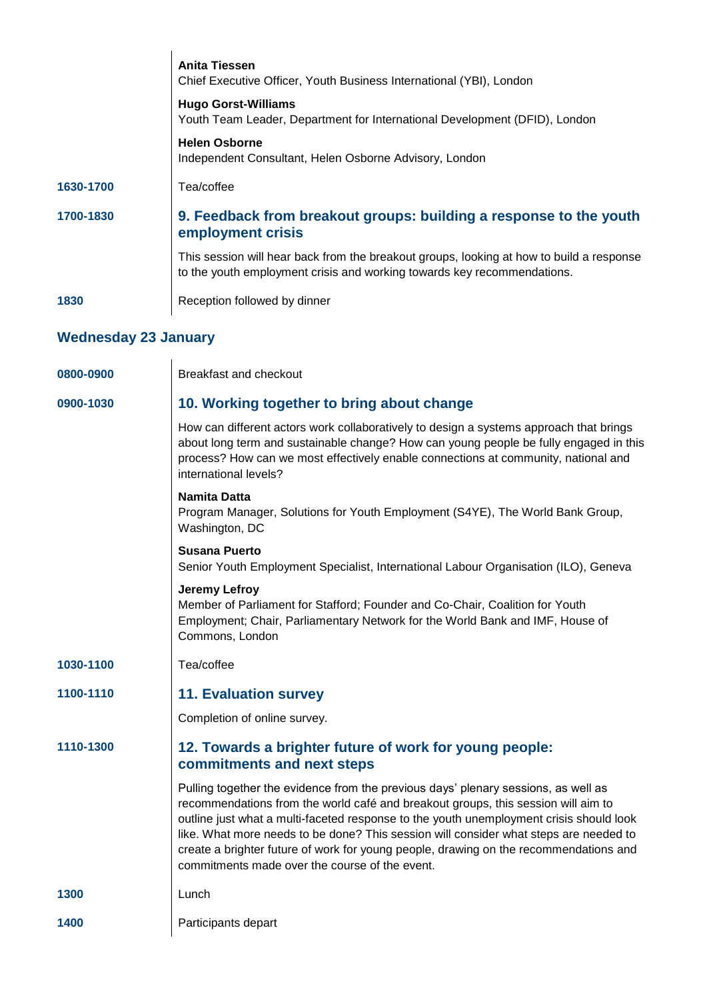|                             | <b>Anita Tiessen</b><br>Chief Executive Officer, Youth Business International (YBI), London                                                                                                                                                                                                                                                                                                                                                                                                            |  |
|-----------------------------|--------------------------------------------------------------------------------------------------------------------------------------------------------------------------------------------------------------------------------------------------------------------------------------------------------------------------------------------------------------------------------------------------------------------------------------------------------------------------------------------------------|--|
|                             | <b>Hugo Gorst-Williams</b><br>Youth Team Leader, Department for International Development (DFID), London                                                                                                                                                                                                                                                                                                                                                                                               |  |
|                             | <b>Helen Osborne</b><br>Independent Consultant, Helen Osborne Advisory, London                                                                                                                                                                                                                                                                                                                                                                                                                         |  |
| 1630-1700                   | Tea/coffee                                                                                                                                                                                                                                                                                                                                                                                                                                                                                             |  |
| 1700-1830                   | 9. Feedback from breakout groups: building a response to the youth<br>employment crisis                                                                                                                                                                                                                                                                                                                                                                                                                |  |
|                             | This session will hear back from the breakout groups, looking at how to build a response<br>to the youth employment crisis and working towards key recommendations.                                                                                                                                                                                                                                                                                                                                    |  |
| 1830                        | Reception followed by dinner                                                                                                                                                                                                                                                                                                                                                                                                                                                                           |  |
| <b>Wednesday 23 January</b> |                                                                                                                                                                                                                                                                                                                                                                                                                                                                                                        |  |
| 0800-0900                   | Breakfast and checkout                                                                                                                                                                                                                                                                                                                                                                                                                                                                                 |  |
| 0900-1030                   | 10. Working together to bring about change                                                                                                                                                                                                                                                                                                                                                                                                                                                             |  |
|                             | How can different actors work collaboratively to design a systems approach that brings<br>about long term and sustainable change? How can young people be fully engaged in this<br>process? How can we most effectively enable connections at community, national and<br>international levels?                                                                                                                                                                                                         |  |
|                             | <b>Namita Datta</b><br>Program Manager, Solutions for Youth Employment (S4YE), The World Bank Group,<br>Washington, DC                                                                                                                                                                                                                                                                                                                                                                                 |  |
|                             | <b>Susana Puerto</b><br>Senior Youth Employment Specialist, International Labour Organisation (ILO), Geneva                                                                                                                                                                                                                                                                                                                                                                                            |  |
|                             | <b>Jeremy Lefroy</b><br>Member of Parliament for Stafford; Founder and Co-Chair, Coalition for Youth<br>Employment; Chair, Parliamentary Network for the World Bank and IMF, House of<br>Commons, London                                                                                                                                                                                                                                                                                               |  |
| 1030-1100                   | Tea/coffee                                                                                                                                                                                                                                                                                                                                                                                                                                                                                             |  |
| 1100-1110                   | <b>11. Evaluation survey</b>                                                                                                                                                                                                                                                                                                                                                                                                                                                                           |  |
|                             | Completion of online survey.                                                                                                                                                                                                                                                                                                                                                                                                                                                                           |  |
| 1110-1300                   | 12. Towards a brighter future of work for young people:<br>commitments and next steps                                                                                                                                                                                                                                                                                                                                                                                                                  |  |
|                             | Pulling together the evidence from the previous days' plenary sessions, as well as<br>recommendations from the world café and breakout groups, this session will aim to<br>outline just what a multi-faceted response to the youth unemployment crisis should look<br>like. What more needs to be done? This session will consider what steps are needed to<br>create a brighter future of work for young people, drawing on the recommendations and<br>commitments made over the course of the event. |  |
| 1300                        | Lunch                                                                                                                                                                                                                                                                                                                                                                                                                                                                                                  |  |
| 1400                        | Participants depart                                                                                                                                                                                                                                                                                                                                                                                                                                                                                    |  |